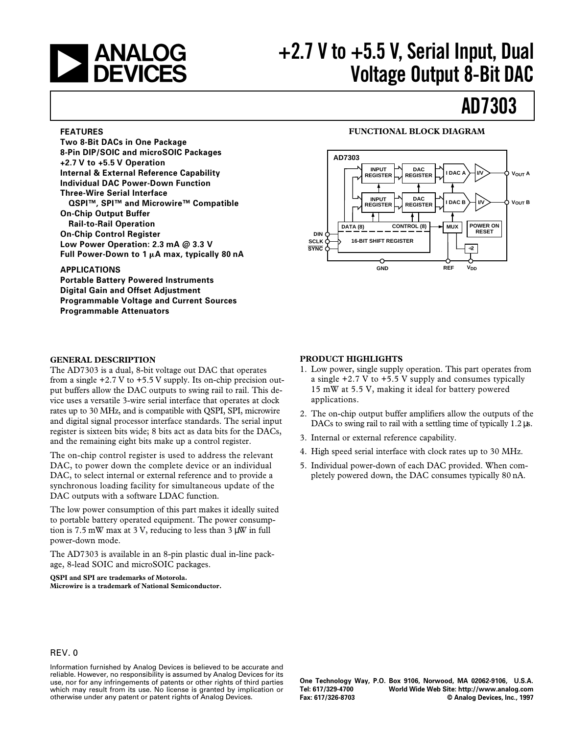

# a **+2.7 V to +5.5 V, Serial Input, Dual Voltage Output 8-Bit DAC**

# **AD7303**

#### **FEATURES**

**Two 8-Bit DACs in One Package 8-Pin DIP/SOIC and microSOIC Packages +2.7 V to +5.5 V Operation Internal & External Reference Capability Individual DAC Power-Down Function Three-Wire Serial Interface QSPI™, SPI™ and Microwire™ Compatible On-Chip Output Buffer Rail-to-Rail Operation On-Chip Control Register Low Power Operation: 2.3 mA @ 3.3 V** Full Power-Down to 1 μA max, typically 80 nA

### **APPLICATIONS**

**Portable Battery Powered Instruments Digital Gain and Offset Adjustment Programmable Voltage and Current Sources Programmable Attenuators**

#### **GENERAL DESCRIPTION**

The AD7303 is a dual, 8-bit voltage out DAC that operates from a single  $+2.7$  V to  $+5.5$  V supply. Its on-chip precision output buffers allow the DAC outputs to swing rail to rail. This device uses a versatile 3-wire serial interface that operates at clock rates up to 30 MHz, and is compatible with QSPI, SPI, microwire and digital signal processor interface standards. The serial input register is sixteen bits wide; 8 bits act as data bits for the DACs, and the remaining eight bits make up a control register.

The on-chip control register is used to address the relevant DAC, to power down the complete device or an individual DAC, to select internal or external reference and to provide a synchronous loading facility for simultaneous update of the DAC outputs with a software LDAC function.

The low power consumption of this part makes it ideally suited to portable battery operated equipment. The power consumption is 7.5 mW max at 3 V, reducing to less than 3 µW in full power-down mode.

The AD7303 is available in an 8-pin plastic dual in-line package, 8-lead SOIC and microSOIC packages.

**QSPI and SPI are trademarks of Motorola. Microwire is a trademark of National Semiconductor.**

### **FUNCTIONAL BLOCK DIAGRAM**



### **PRODUCT HIGHLIGHTS**

- 1. Low power, single supply operation. This part operates from a single +2.7 V to +5.5 V supply and consumes typically 15 mW at 5.5 V, making it ideal for battery powered applications.
- 2. The on-chip output buffer amplifiers allow the outputs of the DACs to swing rail to rail with a settling time of typically 1.2  $\mu$ s.
- 3. Internal or external reference capability.
- 4. High speed serial interface with clock rates up to 30 MHz.
- 5. Individual power-down of each DAC provided. When completely powered down, the DAC consumes typically 80 nA.

#### REV. 0

Information furnished by Analog Devices is believed to be accurate and reliable. However, no responsibility is assumed by Analog Devices for its use, nor for any infringements of patents or other rights of third parties which may result from its use. No license is granted by implication or otherwise under any patent or patent rights of Analog Devices.

**One Technology Way, P.O. Box 9106, Norwood, MA 02062-9106, U.S.A. Tel: 617/329-4700 World Wide Web Site: http://www.analog.com**  $©$  Analog Devices, Inc., 1997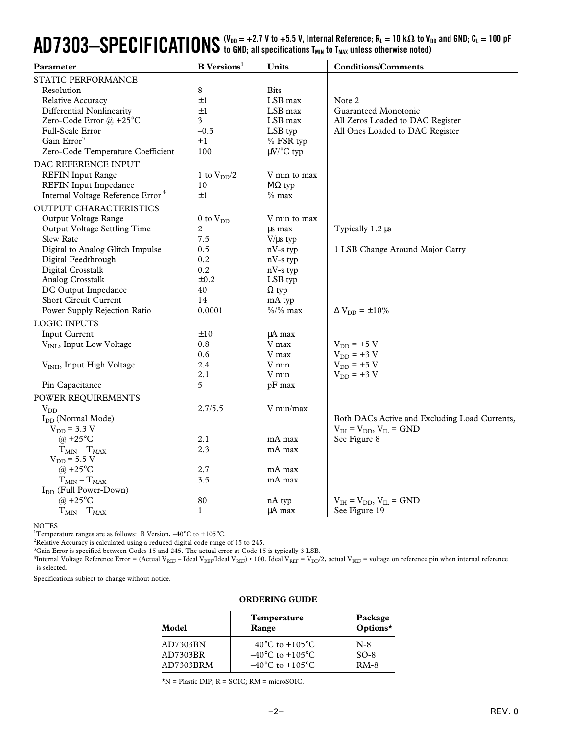# $\bf{AD7303-}$  $\bf{SPECIFICATIONS}$  ( $V_{\text{DD}}$  = +2.7 V to +5.5 V, Internal Reference; R<sub>L</sub> = 10 kΩ to V<sub>DD</sub> and GND; C<sub>L</sub> = 100 pF

| Parameter                                     | <b>B</b> Versions <sup>1</sup> | <b>Units</b>   | <b>Conditions/Comments</b>                    |
|-----------------------------------------------|--------------------------------|----------------|-----------------------------------------------|
| STATIC PERFORMANCE                            |                                |                |                                               |
| Resolution                                    | 8                              | <b>Bits</b>    |                                               |
| Relative Accuracy                             | ±1                             | LSB max        | Note 2                                        |
| Differential Nonlinearity                     | $\pm 1$                        | LSB max        | Guaranteed Monotonic                          |
| Zero-Code Error @ +25°C                       | 3                              | LSB max        | All Zeros Loaded to DAC Register              |
| Full-Scale Error                              | $-0.5$                         | LSB typ        | All Ones Loaded to DAC Register               |
| Gain Error <sup>3</sup>                       | $+1$                           | % FSR typ      |                                               |
| Zero-Code Temperature Coefficient             | 100                            | $\mu$ V/°C typ |                                               |
| DAC REFERENCE INPUT                           |                                |                |                                               |
| <b>REFIN Input Range</b>                      | 1 to $V_{DD}/2$                | V min to max   |                                               |
| <b>REFIN Input Impedance</b>                  | 10                             | $M\Omega$ typ  |                                               |
| Internal Voltage Reference Error <sup>4</sup> | ±1                             | $%$ max        |                                               |
| <b>OUTPUT CHARACTERISTICS</b>                 |                                |                |                                               |
| Output Voltage Range                          | $0$ to $V_{DD}$                | V min to max   |                                               |
| Output Voltage Settling Time                  | 2                              | us max         | Typically 1.2 µs                              |
| Slew Rate                                     | 7.5                            | $V/\mu s$ typ  |                                               |
| Digital to Analog Glitch Impulse              | 0.5                            | $nV-s$ typ     | 1 LSB Change Around Major Carry               |
| Digital Feedthrough                           | 0.2                            | nV-s typ       |                                               |
| Digital Crosstalk                             | 0.2                            | nV-s typ       |                                               |
| Analog Crosstalk                              | $\pm 0.2$                      | LSB typ        |                                               |
| DC Output Impedance                           | 40                             | $\Omega$ typ   |                                               |
| Short Circuit Current                         | 14                             | mA typ         |                                               |
| Power Supply Rejection Ratio                  | 0.0001                         | $\%/%$ max     | $\Delta V_{DD} = \pm 10\%$                    |
| <b>LOGIC INPUTS</b>                           |                                |                |                                               |
| Input Current                                 | ±10                            | $\mu A$ max    |                                               |
| V <sub>INL</sub> , Input Low Voltage          | 0.8                            | V max          | $V_{DD}$ = +5 V                               |
|                                               | 0.6                            | V max          | $V_{DD}$ = +3 V                               |
| V <sub>INH</sub> , Input High Voltage         | 2.4                            | V min          | $V_{DD}$ = +5 V                               |
|                                               | 2.1                            | V min          | $V_{DD}$ = +3 V                               |
| Pin Capacitance                               | 5                              | pF max         |                                               |
| POWER REQUIREMENTS                            |                                |                |                                               |
| $V_{DD}$                                      | 2.7/5.5                        | V min/max      |                                               |
| I <sub>DD</sub> (Normal Mode)                 |                                |                | Both DACs Active and Excluding Load Currents, |
| $V_{DD}$ = 3.3 V                              |                                |                | $V_{IH} = V_{DD}$ , $V_{IL} = GND$            |
| @ +25 $\mathrm{^{\circ}C}$                    | 2.1                            | mA max         | See Figure 8                                  |
| $T_{MIN} - T_{MAX}$                           | 2.3                            | mA max         |                                               |
| $V_{DD} = 5.5 V$                              |                                |                |                                               |
| @ +25 $^{\circ}$ C                            | 2.7                            | mA max         |                                               |
| $T_{MIN} - T_{MAX}$                           | 3.5                            | mA max         |                                               |
| I <sub>DD</sub> (Full Power-Down)             |                                |                |                                               |
| @ +25 $^{\circ}$ C                            | 80                             | nA typ         | $V_{IH} = V_{DD}$ , $V_{IL} = GND$            |
| $T_{MIN} - T_{MAX}$                           | $\mathbf{1}$                   | $\mu A$ max    | See Figure 19                                 |

NOTES

<sup>1</sup>Temperature ranges are as follows: B Version,  $-40^{\circ}$ C to  $+105^{\circ}$ C.

<sup>2</sup>Relative Accuracy is calculated using a reduced digital code range of 15 to 245.

<sup>3</sup>Gain Error is specified between Codes 15 and 245. The actual error at Code 15 is typically 3 LSB.

<sup>4</sup>Internal Voltage Reference Error = (Actual V<sub>REF</sub> – Ideal V<sub>REF</sub>) value 100. Ideal V<sub>REF</sub> = V<sub>DD</sub>/2, actual V<sub>REF</sub> = voltage on reference pin when internal reference is selected.

Specifications subject to change without notice.

#### **ORDERING GUIDE**

| Model     | <b>Temperature</b><br>Range         | Package<br>Options* |
|-----------|-------------------------------------|---------------------|
| AD7303BN  | $-40^{\circ}$ C to $+105^{\circ}$ C | $N-8$               |
| AD7303BR  | $-40^{\circ}$ C to $+105^{\circ}$ C | $SO-8$              |
| AD7303BRM | $-40^{\circ}$ C to $+105^{\circ}$ C | $RM-8$              |

\*N = Plastic DIP; R = SOIC; RM = microSOIC.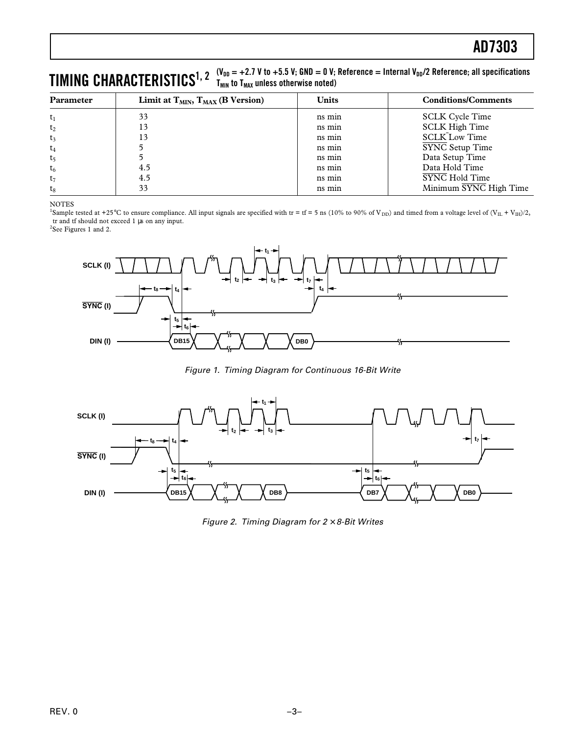### $\boldsymbol{\Pi}$ **MING**  $\boldsymbol{\text{CHARACTERISTICS}}^{1,\text{ 2}}$   $\boldsymbol{\Gamma}_{\text{MIR}}$  to T<sub>MAX</sub> unless otherwise noted) **TMIN to TMAX unless otherwise noted)**

| <b>Parameter</b> | Limit at $T_{MIN}$ , $T_{MAX}$ (B Version) | <b>Units</b> | <b>Conditions/Comments</b> |  |  |  |
|------------------|--------------------------------------------|--------------|----------------------------|--|--|--|
| $t_1$            | 33                                         | ns min       | <b>SCLK Cycle Time</b>     |  |  |  |
| t <sub>2</sub>   | 13                                         | ns min       | <b>SCLK High Time</b>      |  |  |  |
| $t_3$            | 13                                         | ns min       | <b>SCLK Low Time</b>       |  |  |  |
| $t_4$            |                                            | ns min       | SYNC Setup Time            |  |  |  |
| t <sub>5</sub>   |                                            | ns min       | Data Setup Time            |  |  |  |
| $t_6$            | 4.5                                        | ns min       | Data Hold Time             |  |  |  |
| $t_7$            | 4.5                                        | ns min       | SYNC Hold Time             |  |  |  |
| $t_8$            | 33                                         | ns min       | Minimum SYNC High Time     |  |  |  |

### NOTES

<sup>1</sup>Sample tested at +25°C to ensure compliance. All input signals are specified with tr = tf = 5 ns (10% to 90% of V<sub>DD</sub>) and timed from a voltage level of (V<sub>IL</sub> + V<sub>IH</sub>)/2, tr and tf should not exceed 1 µs on any input.

<sup>2</sup>See Figures 1 and 2.



Figure 1. Timing Diagram for Continuous 16-Bit Write



Figure 2. Timing Diagram for  $2 \times 8$ -Bit Writes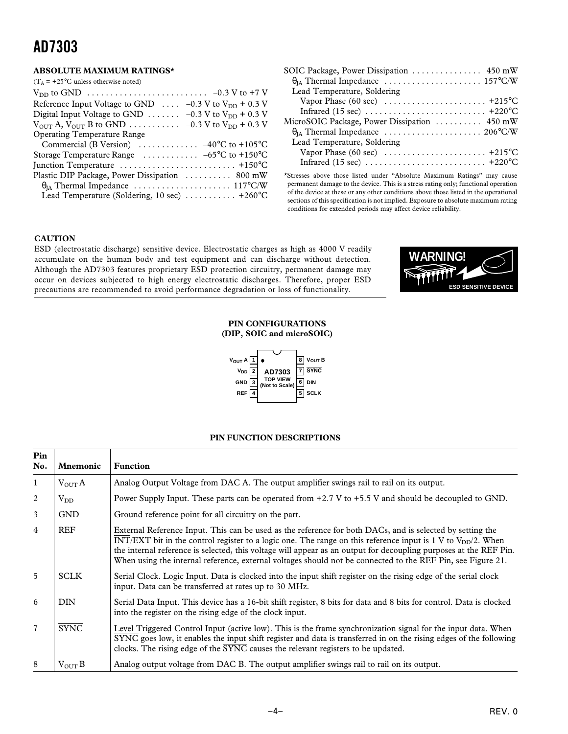### **ABSOLUTE MAXIMUM RATINGS\***

| $(T_A = +25^{\circ}$ C unless otherwise noted)                                                                |
|---------------------------------------------------------------------------------------------------------------|
|                                                                                                               |
| Reference Input Voltage to GND $\ldots$ -0.3 V to V <sub>DD</sub> + 0.3 V                                     |
| Digital Input Voltage to GND $\ldots \ldots -0.3$ V to V <sub>DD</sub> + 0.3 V                                |
| $V_{\text{OUT}}$ A, $V_{\text{OUT}}$ B to GND $\ldots \ldots \ldots \ldots -0.3$ V to $V_{\text{DD}}$ + 0.3 V |
| <b>Operating Temperature Range</b>                                                                            |
| Commercial (B Version) $\ldots \ldots \ldots \ldots -40^{\circ}C$ to +105°C                                   |
| Storage Temperature Range $\ldots \ldots \ldots -65$ °C to +150°C                                             |
| Junction Temperature $\dots\dots\dots\dots\dots\dots\dots\dots\dots\dots$                                     |
| Plastic DIP Package, Power Dissipation  800 mW                                                                |
|                                                                                                               |
| Lead Temperature (Soldering, 10 sec) $\dots \dots \dots +260^{\circ}C$                                        |
|                                                                                                               |

| SOIC Package, Power Dissipation  450 mW                                         |
|---------------------------------------------------------------------------------|
|                                                                                 |
| Lead Temperature, Soldering                                                     |
| Vapor Phase (60 sec) $\ldots \ldots \ldots \ldots \ldots \ldots \ldots +215$ °C |
|                                                                                 |
| MicroSOIC Package, Power Dissipation  450 mW                                    |
|                                                                                 |
| Lead Temperature, Soldering                                                     |
|                                                                                 |
|                                                                                 |

\*Stresses above those listed under "Absolute Maximum Ratings" may cause permanent damage to the device. This is a stress rating only; functional operation of the device at these or any other conditions above those listed in the operational sections of this specification is not implied. Exposure to absolute maximum rating conditions for extended periods may affect device reliability.

### **CAUTION**

ESD (electrostatic discharge) sensitive device. Electrostatic charges as high as 4000 V readily accumulate on the human body and test equipment and can discharge without detection. Although the AD7303 features proprietary ESD protection circuitry, permanent damage may occur on devices subjected to high energy electrostatic discharges. Therefore, proper ESD precautions are recommended to avoid performance degradation or loss of functionality.



#### **PIN CONFIGURATIONS (DIP, SOIC and microSOIC)**



### **PIN FUNCTION DESCRIPTIONS**

| Pin<br>No.     | <b>Mnemonic</b>    | <b>Function</b>                                                                                                                                                                                                                                                                                                                                                                                                                                                    |  |  |  |  |
|----------------|--------------------|--------------------------------------------------------------------------------------------------------------------------------------------------------------------------------------------------------------------------------------------------------------------------------------------------------------------------------------------------------------------------------------------------------------------------------------------------------------------|--|--|--|--|
| $\mathbf{1}$   | $V_{\text{OUT}}A$  | Analog Output Voltage from DAC A. The output amplifier swings rail to rail on its output.                                                                                                                                                                                                                                                                                                                                                                          |  |  |  |  |
| 2              | $V_{DD}$           | Power Supply Input. These parts can be operated from +2.7 V to +5.5 V and should be decoupled to GND.                                                                                                                                                                                                                                                                                                                                                              |  |  |  |  |
| 3              | <b>GND</b>         | Ground reference point for all circuitry on the part.                                                                                                                                                                                                                                                                                                                                                                                                              |  |  |  |  |
| 4              | <b>REF</b>         | External Reference Input. This can be used as the reference for both DACs, and is selected by setting the<br>INT/EXT bit in the control register to a logic one. The range on this reference input is 1 V to $V_{DD}/2$ . When<br>the internal reference is selected, this voltage will appear as an output for decoupling purposes at the REF Pin.<br>When using the internal reference, external voltages should not be connected to the REF Pin, see Figure 21. |  |  |  |  |
| 5              | <b>SCLK</b>        | Serial Clock. Logic Input. Data is clocked into the input shift register on the rising edge of the serial clock<br>input. Data can be transferred at rates up to 30 MHz.                                                                                                                                                                                                                                                                                           |  |  |  |  |
| 6              | <b>DIN</b>         | Serial Data Input. This device has a 16-bit shift register, 8 bits for data and 8 bits for control. Data is clocked<br>into the register on the rising edge of the clock input.                                                                                                                                                                                                                                                                                    |  |  |  |  |
| $\overline{7}$ | <b>SYNC</b>        | Level Triggered Control Input (active low). This is the frame synchronization signal for the input data. When<br>$\overline{\text{SYNC}}$ goes low, it enables the input shift register and data is transferred in on the rising edges of the following<br>clocks. The rising edge of the $\overline{\text{SYNC}}$ causes the relevant registers to be updated.                                                                                                    |  |  |  |  |
| 8              | $V_{\text{OUT}} B$ | Analog output voltage from DAC B. The output amplifier swings rail to rail on its output.                                                                                                                                                                                                                                                                                                                                                                          |  |  |  |  |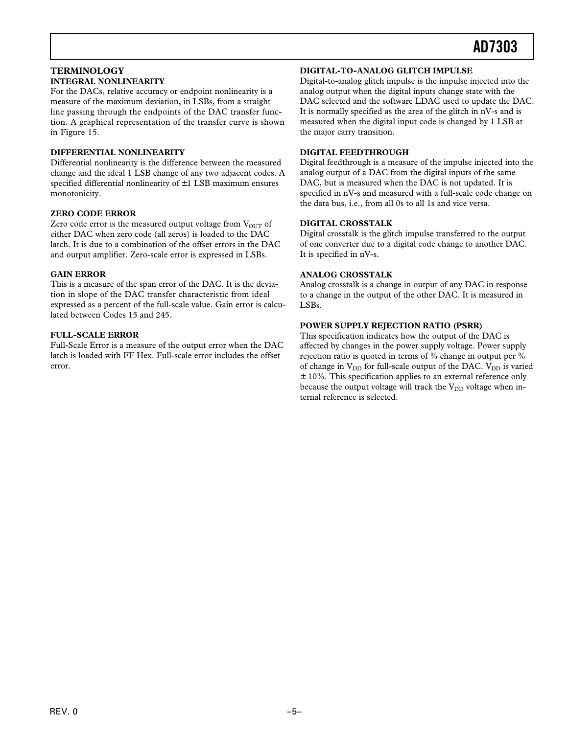### **TERMINOLOGY INTEGRAL NONLINEARITY**

For the DACs, relative accuracy or endpoint nonlinearity is a measure of the maximum deviation, in LSBs, from a straight line passing through the endpoints of the DAC transfer function. A graphical representation of the transfer curve is shown in Figure 15.

### **DIFFERENTIAL NONLINEARITY**

Differential nonlinearity is the difference between the measured change and the ideal 1 LSB change of any two adjacent codes. A specified differential nonlinearity of  $\pm 1$  LSB maximum ensures monotonicity.

### **ZERO CODE ERROR**

Zero code error is the measured output voltage from  $V_{OUT}$  of either DAC when zero code (all zeros) is loaded to the DAC latch. It is due to a combination of the offset errors in the DAC and output amplifier. Zero-scale error is expressed in LSBs.

### **GAIN ERROR**

This is a measure of the span error of the DAC. It is the deviation in slope of the DAC transfer characteristic from ideal expressed as a percent of the full-scale value. Gain error is calculated between Codes 15 and 245.

### **FULL-SCALE ERROR**

Full-Scale Error is a measure of the output error when the DAC latch is loaded with FF Hex. Full-scale error includes the offset error.

### **DIGITAL-TO-ANALOG GLITCH IMPULSE**

Digital-to-analog glitch impulse is the impulse injected into the analog output when the digital inputs change state with the DAC selected and the software LDAC used to update the DAC. It is normally specified as the area of the glitch in nV-s and is measured when the digital input code is changed by 1 LSB at the major carry transition.

### **DIGITAL FEEDTHROUGH**

Digital feedthrough is a measure of the impulse injected into the analog output of a DAC from the digital inputs of the same DAC, but is measured when the DAC is not updated. It is specified in nV-s and measured with a full-scale code change on the data bus, i.e., from all 0s to all 1s and vice versa.

### **DIGITAL CROSSTALK**

Digital crosstalk is the glitch impulse transferred to the output of one converter due to a digital code change to another DAC. It is specified in nV-s.

### **ANALOG CROSSTALK**

Analog crosstalk is a change in output of any DAC in response to a change in the output of the other DAC. It is measured in LSBs.

### **POWER SUPPLY REJECTION RATIO (PSRR)**

This specification indicates how the output of the DAC is affected by changes in the power supply voltage. Power supply rejection ratio is quoted in terms of % change in output per % of change in  $V_{DD}$  for full-scale output of the DAC.  $V_{DD}$  is varied ± 10%. This specification applies to an external reference only because the output voltage will track the  $V_{DD}$  voltage when internal reference is selected.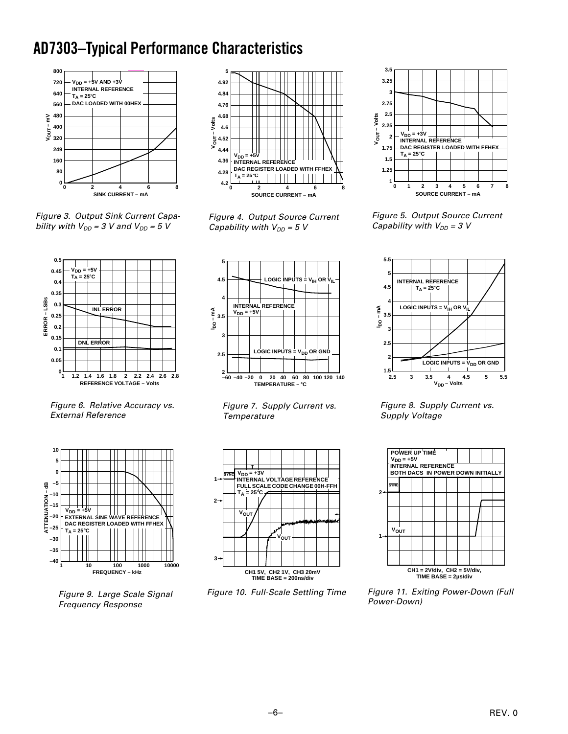## **AD7303–Typical Performance Characteristics**



**5 4.92 4.84 4.76 4.68** Volts **VOUT – Volts 4.6**  $V_{\rm OUT}$  –  $V$ **4.52 4.44**  $V_{DD} = +5V$ **4.36 INTERNAL REFERENCE DAC REGISTER LOADED WITH 4.28**  $T_A = 25^\circ C$ **4.2 02 8 4 6 SOURCE CURRENT – mA**

Figure 3. Output Sink Current Capability with  $V_{DD} = 3$  V and  $V_{DD} = 5$  V



Figure 6. Relative Accuracy vs. External Reference



Figure 9. Large Scale Signal Frequency Response

Figure 4. Output Source Current Capability with  $V_{DD} = 5$  V



Figure 7. Supply Current vs. **Temperature** 



Figure 10. Full-Scale Settling Time



Figure 5. Output Source Current Capability with  $V_{DD} = 3 V$ 



Figure 8. Supply Current vs. Supply Voltage



Figure 11. Exiting Power-Down (Full Power-Down)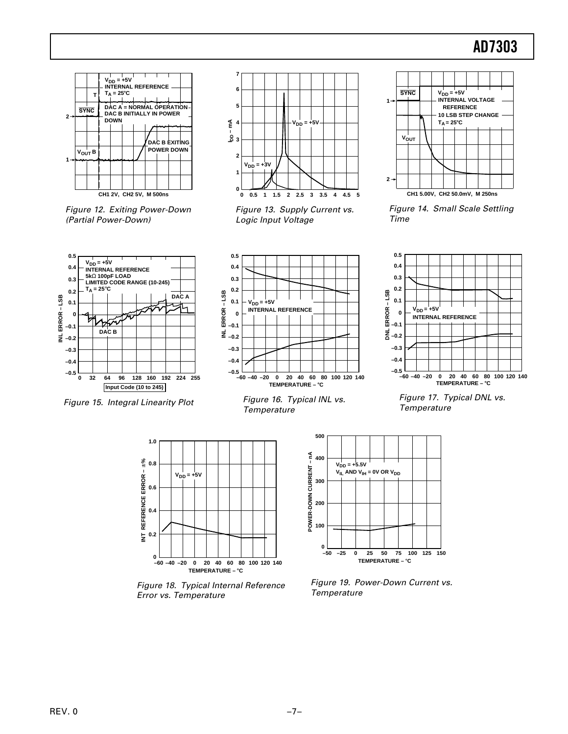

Figure 12. Exiting Power-Down (Partial Power-Down)



Figure 13. Supply Current vs. Logic Input Voltage



Figure 14. Small Scale Settling Time



Figure 15. Integral Linearity Plot



Figure 16. Typical INL vs. **Temperature** 



Figure 17. Typical DNL vs. **Temperature** 



Figure 18. Typical Internal Reference Error vs. Temperature



Figure 19. Power-Down Current vs. **Temperature**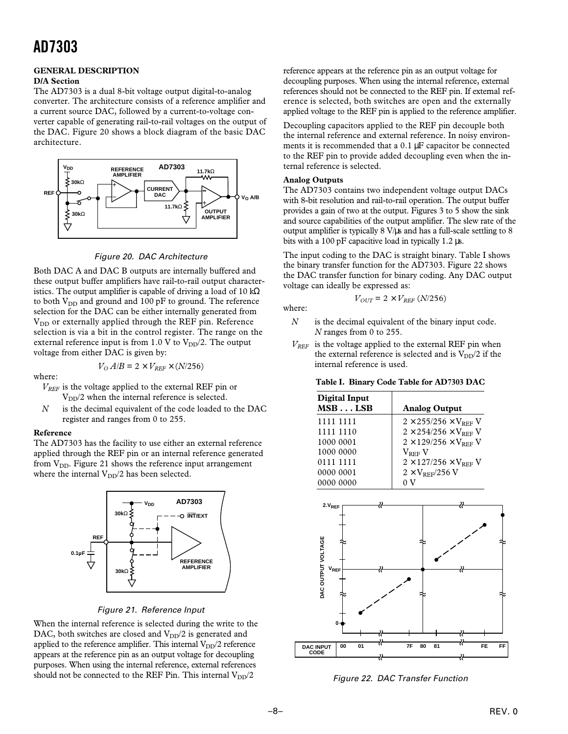### **GENERAL DESCRIPTION**

### **D/A Section**

The AD7303 is a dual 8-bit voltage output digital-to-analog converter. The architecture consists of a reference amplifier and a current source DAC, followed by a current-to-voltage converter capable of generating rail-to-rail voltages on the output of the DAC. Figure 20 shows a block diagram of the basic DAC architecture.



Figure 20. DAC Architecture

Both DAC A and DAC B outputs are internally buffered and these output buffer amplifiers have rail-to-rail output characteristics. The output amplifier is capable of driving a load of 10 k $\Omega$ to both  $V_{DD}$  and ground and 100 pF to ground. The reference selection for the DAC can be either internally generated from  $V_{DD}$  or externally applied through the REF pin. Reference selection is via a bit in the control register. The range on the external reference input is from 1.0 V to  $V_{DD}/2$ . The output voltage from either DAC is given by:

 $V_0 A/B = 2 \times V_{REF} \times (N/256)$ 

### where:

- *VREF* is the voltage applied to the external REF pin or  $V_{DD}/2$  when the internal reference is selected.
- *N* is the decimal equivalent of the code loaded to the DAC register and ranges from 0 to 255.

### **Reference**

The AD7303 has the facility to use either an external reference applied through the REF pin or an internal reference generated from  $V_{DD}$ . Figure 21 shows the reference input arrangement where the internal  $V_{DD}/2$  has been selected.



### Figure 21. Reference Input

When the internal reference is selected during the write to the DAC, both switches are closed and  $V_{DD}/2$  is generated and applied to the reference amplifier. This internal  $V_{DD}/2$  reference appears at the reference pin as an output voltage for decoupling purposes. When using the internal reference, external references should not be connected to the REF Pin. This internal  $V_{DD}/2$ 

reference appears at the reference pin as an output voltage for decoupling purposes. When using the internal reference, external references should not be connected to the REF pin. If external reference is selected, both switches are open and the externally applied voltage to the REF pin is applied to the reference amplifier.

Decoupling capacitors applied to the REF pin decouple both the internal reference and external reference. In noisy environments it is recommended that a 0.1 µF capacitor be connected to the REF pin to provide added decoupling even when the internal reference is selected.

### **Analog Outputs**

The AD7303 contains two independent voltage output DACs with 8-bit resolution and rail-to-rail operation. The output buffer provides a gain of two at the output. Figures 3 to 5 show the sink and source capabilities of the output amplifier. The slew rate of the output amplifier is typically  $8 \text{ V/}\mu\text{s}$  and has a full-scale settling to  $8 \text{ V/}\mu\text{s}$ bits with a 100 pF capacitive load in typically 1.2 µs.

The input coding to the DAC is straight binary. Table I shows the binary transfer function for the AD7303. Figure 22 shows the DAC transfer function for binary coding. Any DAC output voltage can ideally be expressed as:

$$
V_{OUT} = 2 \times V_{REF}\left(N/256\right)
$$

where:

- *N* is the decimal equivalent of the binary input code. *N* ranges from 0 to 255.
- $V_{REF}$  is the voltage applied to the external REF pin when the external reference is selected and is  $V_{DD}/2$  if the internal reference is used.

| Table I.  Binary Code Table for AD7303 DAC |  |  |  |
|--------------------------------------------|--|--|--|
|                                            |  |  |  |

| Digital Input<br>MSBLSB | <b>Analog Output</b>                       |
|-------------------------|--------------------------------------------|
| 1111 1111               | $2 \times 255/256 \times V_{\text{prf}}$ V |
| 1111 1110               | $2 \times 254/256 \times V_{REF}$ V        |
| 1000 0001               | $2 \times 129/256 \times V_{REF}$ V        |
| 1000 0000               | $\rm V_{\rm RFF}$ V                        |
| 0111 1111               | $2 \times 127/256 \times V_{REF}$ V        |
| 0000 0001               | $2 \times V_{\rm{RFF}}/256$ V              |
| 0000 0000               |                                            |



Figure 22. DAC Transfer Function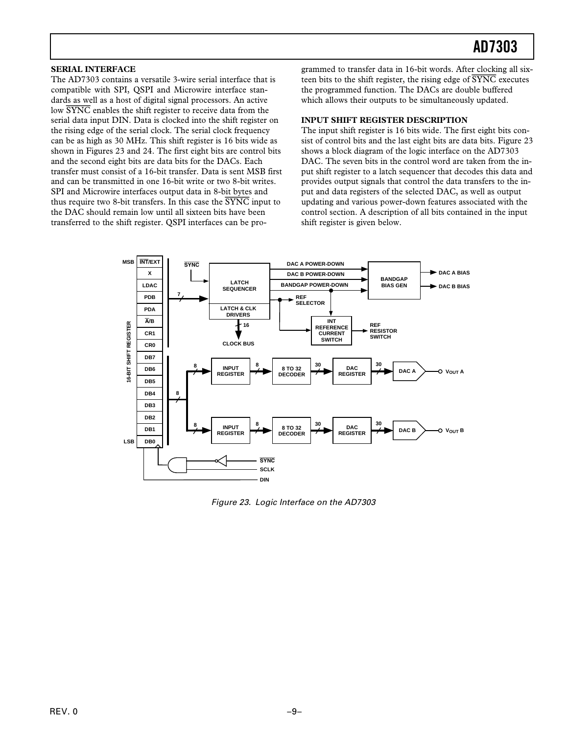### **SERIAL INTERFACE**

The AD7303 contains a versatile 3-wire serial interface that is compatible with SPI, QSPI and Microwire interface standards as well as a host of digital signal processors. An active low *SYNC* enables the shift register to receive data from the serial data input DIN. Data is clocked into the shift register on the rising edge of the serial clock. The serial clock frequency can be as high as 30 MHz. This shift register is 16 bits wide as shown in Figures 23 and 24. The first eight bits are control bits and the second eight bits are data bits for the DACs. Each transfer must consist of a 16-bit transfer. Data is sent MSB first and can be transmitted in one 16-bit write or two 8-bit writes. SPI and Microwire interfaces output data in 8-bit bytes and thus require two 8-bit transfers. In this case the *SYNC* input to the DAC should remain low until all sixteen bits have been transferred to the shift register. QSPI interfaces can be programmed to transfer data in 16-bit words. After clocking all sixteen bits to the shift register, the rising edge of *SYNC* executes the programmed function. The DACs are double buffered which allows their outputs to be simultaneously updated.

### **INPUT SHIFT REGISTER DESCRIPTION**

The input shift register is 16 bits wide. The first eight bits consist of control bits and the last eight bits are data bits. Figure 23 shows a block diagram of the logic interface on the AD7303 DAC. The seven bits in the control word are taken from the input shift register to a latch sequencer that decodes this data and provides output signals that control the data transfers to the input and data registers of the selected DAC, as well as output updating and various power-down features associated with the control section. A description of all bits contained in the input shift register is given below.



Figure 23. Logic Interface on the AD7303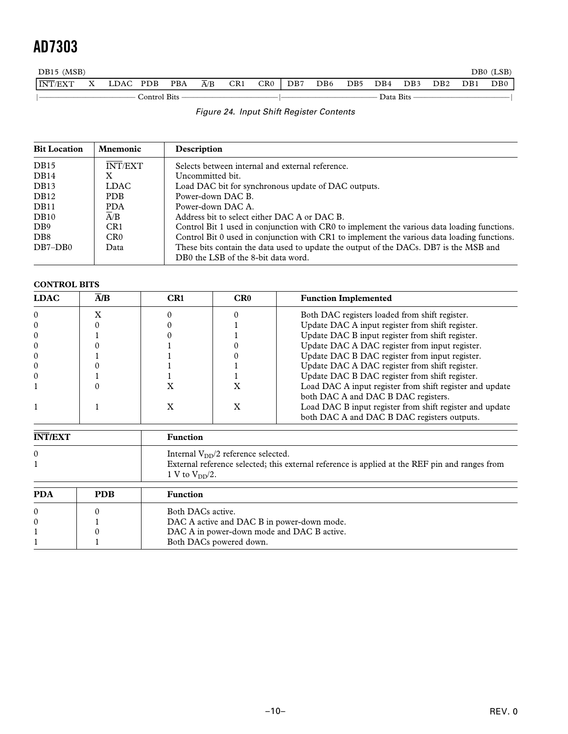| DB15 (MSB)                         |      |              |            |     |     |     |     |                 |     |           |     |     |     | DB0 (LSB) |
|------------------------------------|------|--------------|------------|-----|-----|-----|-----|-----------------|-----|-----------|-----|-----|-----|-----------|
| $\overline{\text{INT}}/\text{EXT}$ | LDAC | <b>PDB</b>   | <b>PBA</b> | A/B | CR1 | CR0 | DB7 | DB <sub>6</sub> | DB5 | DB4       | DB3 | DB2 | DB1 | DB0       |
|                                    |      | Control Bits |            |     |     |     |     |                 |     | Data Bits |     |     |     |           |

| Figure 24. Input Shift Register Contents |  |
|------------------------------------------|--|

| <b>Bit Location</b>         | <b>Mnemonic</b>  | Description                                                                                                                  |  |  |  |
|-----------------------------|------------------|------------------------------------------------------------------------------------------------------------------------------|--|--|--|
| DB <sub>15</sub>            | <b>INT/EXT</b>   | Selects between internal and external reference.                                                                             |  |  |  |
| DB14                        | X                | Uncommitted bit.                                                                                                             |  |  |  |
| DB <sub>13</sub>            | <b>LDAC</b>      | Load DAC bit for synchronous update of DAC outputs.                                                                          |  |  |  |
| DB <sub>12</sub>            | <b>PDB</b>       | Power-down DAC B.                                                                                                            |  |  |  |
| DB11                        | <b>PDA</b>       | Power-down DAC A.                                                                                                            |  |  |  |
| DB <sub>10</sub>            | $\overline{A}/B$ | Address bit to select either DAC A or DAC B.                                                                                 |  |  |  |
| D <sub>B9</sub>             | CR1              | Control Bit 1 used in conjunction with CR0 to implement the various data loading functions.                                  |  |  |  |
| D <sub>B</sub> <sup>8</sup> | CR <sub>0</sub>  | Control Bit 0 used in conjunction with CR1 to implement the various data loading functions.                                  |  |  |  |
| $DB7-DB0$                   | Data             | These bits contain the data used to update the output of the DACs. DB7 is the MSB and<br>DB0 the LSB of the 8-bit data word. |  |  |  |

### **CONTROL BITS**

| <b>LDAC</b>    | A/B | CR1                 | CR0                                         | <b>Function Implemented</b>                                                                    |  |  |
|----------------|-----|---------------------|---------------------------------------------|------------------------------------------------------------------------------------------------|--|--|
| $\Omega$       | x   |                     |                                             | Both DAC registers loaded from shift register.                                                 |  |  |
| 0              |     |                     |                                             | Update DAC A input register from shift register.                                               |  |  |
| $\theta$       |     |                     |                                             | Update DAC B input register from shift register.                                               |  |  |
| $\theta$       |     |                     |                                             | Update DAC A DAC register from input register.                                                 |  |  |
| $\theta$       |     |                     |                                             | Update DAC B DAC register from input register.                                                 |  |  |
| $\theta$       |     |                     |                                             | Update DAC A DAC register from shift register.                                                 |  |  |
| $\theta$       |     |                     |                                             | Update DAC B DAC register from shift register.                                                 |  |  |
|                |     | X                   |                                             | Load DAC A input register from shift register and update                                       |  |  |
|                |     |                     |                                             | both DAC A and DAC B DAC registers.                                                            |  |  |
|                |     | X                   | X                                           | Load DAC B input register from shift register and update                                       |  |  |
|                |     |                     | both DAC A and DAC B DAC registers outputs. |                                                                                                |  |  |
| <b>INT/EXT</b> |     | <b>Function</b>     |                                             |                                                                                                |  |  |
| $\Omega$       |     |                     | Internal $V_{DD}/2$ reference selected.     |                                                                                                |  |  |
|                |     |                     |                                             | External reference selected; this external reference is applied at the REF pin and ranges from |  |  |
|                |     | 1 V to $V_{DD}/2$ . |                                             |                                                                                                |  |  |

| <b>PDA</b> | <b>PDB</b> | <b>Function</b>                            |
|------------|------------|--------------------------------------------|
| $\Omega$   |            | Both DACs active.                          |
| $\Omega$   |            | DAC A active and DAC B in power-down mode. |
|            |            | DAC A in power-down mode and DAC B active. |
|            |            | Both DACs powered down.                    |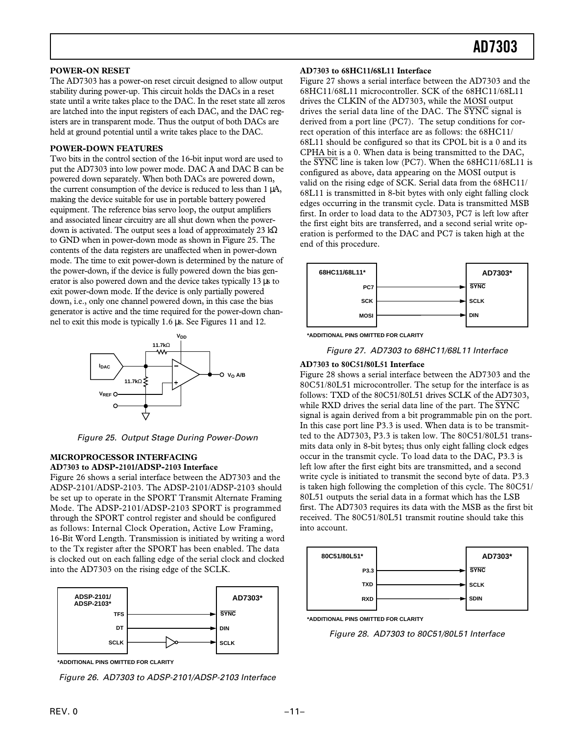### **POWER-ON RESET**

The AD7303 has a power-on reset circuit designed to allow output stability during power-up. This circuit holds the DACs in a reset state until a write takes place to the DAC. In the reset state all zeros are latched into the input registers of each DAC, and the DAC registers are in transparent mode. Thus the output of both DACs are held at ground potential until a write takes place to the DAC.

### **POWER-DOWN FEATURES**

Two bits in the control section of the 16-bit input word are used to put the AD7303 into low power mode. DAC A and DAC B can be powered down separately. When both DACs are powered down, the current consumption of the device is reduced to less than 1 µA, making the device suitable for use in portable battery powered equipment. The reference bias servo loop, the output amplifiers and associated linear circuitry are all shut down when the powerdown is activated. The output sees a load of approximately 23 kΩ to GND when in power-down mode as shown in Figure 25. The contents of the data registers are unaffected when in power-down mode. The time to exit power-down is determined by the nature of the power-down, if the device is fully powered down the bias generator is also powered down and the device takes typically 13  $\mu$ s to exit power-down mode. If the device is only partially powered down, i.e., only one channel powered down, in this case the bias generator is active and the time required for the power-down channel to exit this mode is typically 1.6 µs. See Figures 11 and 12.



Figure 25. Output Stage During Power-Down

### **MICROPROCESSOR INTERFACING AD7303 to ADSP-2101/ADSP-2103 Interface**

Figure 26 shows a serial interface between the AD7303 and the ADSP-2101/ADSP-2103. The ADSP-2101/ADSP-2103 should be set up to operate in the SPORT Transmit Alternate Framing Mode. The ADSP-2101/ADSP-2103 SPORT is programmed through the SPORT control register and should be configured as follows: Internal Clock Operation, Active Low Framing, 16-Bit Word Length. Transmission is initiated by writing a word to the Tx register after the SPORT has been enabled. The data is clocked out on each falling edge of the serial clock and clocked into the AD7303 on the rising edge of the SCLK.



**\*ADDITIONAL PINS OMITTED FOR CLARITY**

Figure 26. AD7303 to ADSP-2101/ADSP-2103 Interface

### **AD7303 to 68HC11/68L11 Interface**

Figure 27 shows a serial interface between the AD7303 and the 68HC11/68L11 microcontroller. SCK of the 68HC11/68L11 drives the CLKIN of the AD7303, while the MOSI output drives the serial data line of the DAC. The SYNC signal is derived from a port line (PC7). The setup conditions for correct operation of this interface are as follows: the 68HC11/ 68L11 should be configured so that its CPOL bit is a 0 and its CPHA bit is a 0. When data is being transmitted to the DAC, the SYNC line is taken low (PC7). When the 68HC11/68L11 is configured as above, data appearing on the MOSI output is valid on the rising edge of SCK. Serial data from the 68HC11/ 68L11 is transmitted in 8-bit bytes with only eight falling clock edges occurring in the transmit cycle. Data is transmitted MSB first. In order to load data to the AD7303, PC7 is left low after the first eight bits are transferred, and a second serial write operation is performed to the DAC and PC7 is taken high at the end of this procedure.





Figure 27. AD7303 to 68HC11/68L11 Interface

#### **AD7303 to 80C51/80L51 Interface**

Figure 28 shows a serial interface between the AD7303 and the 80C51/80L51 microcontroller. The setup for the interface is as follows: TXD of the 80C51/80L51 drives SCLK of the AD7303, while RXD drives the serial data line of the part. The  $\overline{\text{SYNC}}$ signal is again derived from a bit programmable pin on the port. In this case port line P3.3 is used. When data is to be transmitted to the AD7303, P3.3 is taken low. The 80C51/80L51 transmits data only in 8-bit bytes; thus only eight falling clock edges occur in the transmit cycle. To load data to the DAC, P3.3 is left low after the first eight bits are transmitted, and a second write cycle is initiated to transmit the second byte of data. P3.3 is taken high following the completion of this cycle. The 80C51/ 80L51 outputs the serial data in a format which has the LSB first. The AD7303 requires its data with the MSB as the first bit received. The 80C51/80L51 transmit routine should take this into account.



**\*ADDITIONAL PINS OMITTED FOR CLARITY**

Figure 28. AD7303 to 80C51/80L51 Interface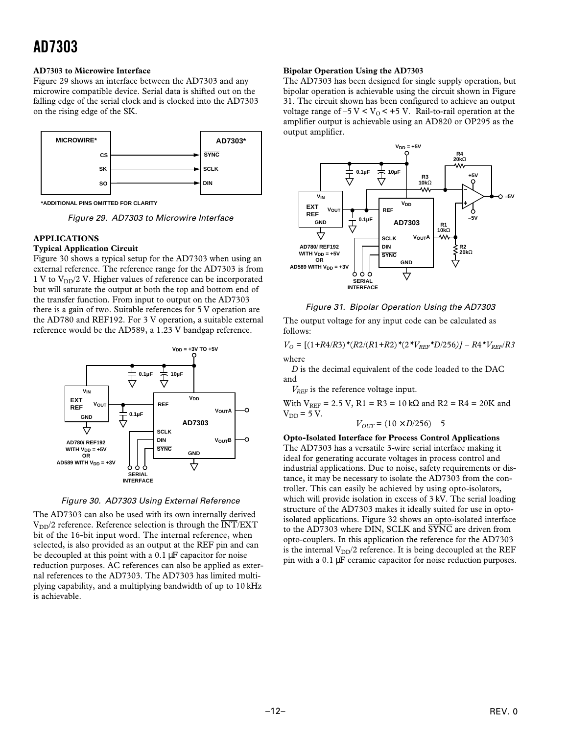### **AD7303 to Microwire Interface**

Figure 29 shows an interface between the AD7303 and any microwire compatible device. Serial data is shifted out on the falling edge of the serial clock and is clocked into the AD7303 on the rising edge of the SK.



**\*ADDITIONAL PINS OMITTED FOR CLARITY**

Figure 29. AD7303 to Microwire Interface

### **APPLICATIONS**

### **Typical Application Circuit**

Figure 30 shows a typical setup for the AD7303 when using an external reference. The reference range for the AD7303 is from 1 V to  $V_{DD}/2$  V. Higher values of reference can be incorporated but will saturate the output at both the top and bottom end of the transfer function. From input to output on the AD7303 there is a gain of two. Suitable references for 5 V operation are the AD780 and REF192. For 3 V operation, a suitable external reference would be the AD589, a 1.23 V bandgap reference.



Figure 30. AD7303 Using External Reference

The AD7303 can also be used with its own internally derived  $V_{DD}/2$  reference. Reference selection is through the  $\overline{INT}$ /EXT bit of the 16-bit input word. The internal reference, when selected, is also provided as an output at the REF pin and can be decoupled at this point with a 0.1  $\mu$ F capacitor for noise reduction purposes. AC references can also be applied as external references to the AD7303. The AD7303 has limited multiplying capability, and a multiplying bandwidth of up to 10 kHz is achievable.

#### **Bipolar Operation Using the AD7303**

The AD7303 has been designed for single supply operation, but bipolar operation is achievable using the circuit shown in Figure 31. The circuit shown has been configured to achieve an output voltage range of  $-5$  V < V<sub>0</sub> <  $+5$  V. Rail-to-rail operation at the amplifier output is achievable using an AD820 or OP295 as the output amplifier.



Figure 31. Bipolar Operation Using the AD7303

The output voltage for any input code can be calculated as follows:

 $V_O = [(1+R4/R3) * (R2/(R1+R2) * (2 * V_{REF} * D/256)] - R4 * V_{REF}/R3$ where

*D* is the decimal equivalent of the code loaded to the DAC and

*V<sub>REF</sub>* is the reference voltage input.

With  $V_{REF}$  = 2.5 V, R1 = R3 = 10 kΩ and R2 = R4 = 20K and  $V_{DD}$  = 5 V.

$$
V_{OUT} = (10 \times D/256) - 5
$$

**Opto-Isolated Interface for Process Control Applications** The AD7303 has a versatile 3-wire serial interface making it ideal for generating accurate voltages in process control and industrial applications. Due to noise, safety requirements or distance, it may be necessary to isolate the AD7303 from the controller. This can easily be achieved by using opto-isolators, which will provide isolation in excess of 3 kV. The serial loading structure of the AD7303 makes it ideally suited for use in optoisolated applications. Figure 32 shows an opto-isolated interface to the AD7303 where DIN, SCLK and SYNC are driven from opto-couplers. In this application the reference for the AD7303 is the internal  $V_{DD}/2$  reference. It is being decoupled at the REF pin with a 0.1 µF ceramic capacitor for noise reduction purposes.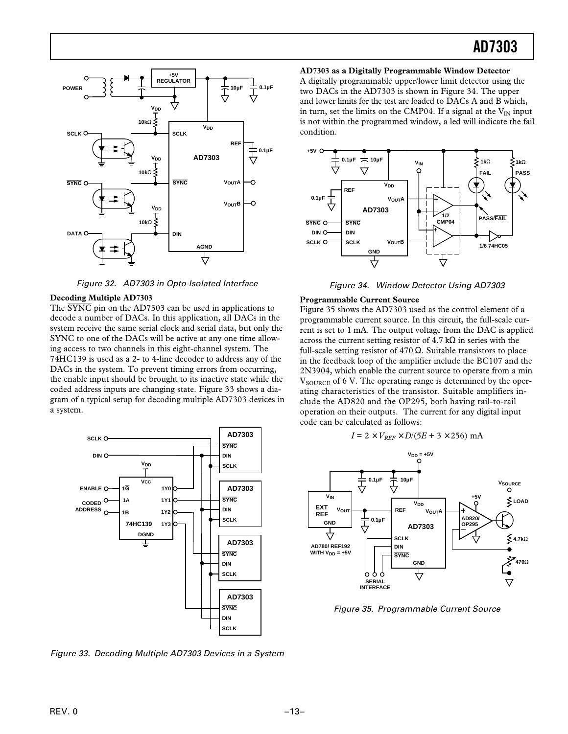

Figure 32. AD7303 in Opto-Isolated Interface

### **Decoding Multiple AD7303**

The  $\overline{\text{SYNC}}$  pin on the AD7303 can be used in applications to decode a number of DACs. In this application, all DACs in the system receive the same serial clock and serial data, but only the SYNC to one of the DACs will be active at any one time allowing access to two channels in this eight-channel system. The 74HC139 is used as a 2- to 4-line decoder to address any of the DACs in the system. To prevent timing errors from occurring, the enable input should be brought to its inactive state while the coded address inputs are changing state. Figure 33 shows a diagram of a typical setup for decoding multiple AD7303 devices in a system.



Figure 33. Decoding Multiple AD7303 Devices in a System

**AD7303 as a Digitally Programmable Window Detector** A digitally programmable upper/lower limit detector using the two DACs in the AD7303 is shown in Figure 34. The upper and lower limits for the test are loaded to DACs A and B which, in turn, set the limits on the CMP04. If a signal at the  $V_{IN}$  input is not within the programmed window, a led will indicate the fail condition.



Figure 34. Window Detector Using AD7303

### **Programmable Current Source**

Figure 35 shows the AD7303 used as the control element of a programmable current source. In this circuit, the full-scale current is set to 1 mA. The output voltage from the DAC is applied across the current setting resistor of  $4.7 \text{ k}\Omega$  in series with the full-scale setting resistor of 470  $\Omega$ . Suitable transistors to place in the feedback loop of the amplifier include the BC107 and the 2N3904, which enable the current source to operate from a min  $V_{\text{SOLRCE}}$  of 6 V. The operating range is determined by the operating characteristics of the transistor. Suitable amplifiers include the AD820 and the OP295, both having rail-to-rail operation on their outputs. The current for any digital input code can be calculated as follows:

$$
I = 2 \times V_{REF} \times D/(5E + 3 \times 256)
$$
 mA



Figure 35. Programmable Current Source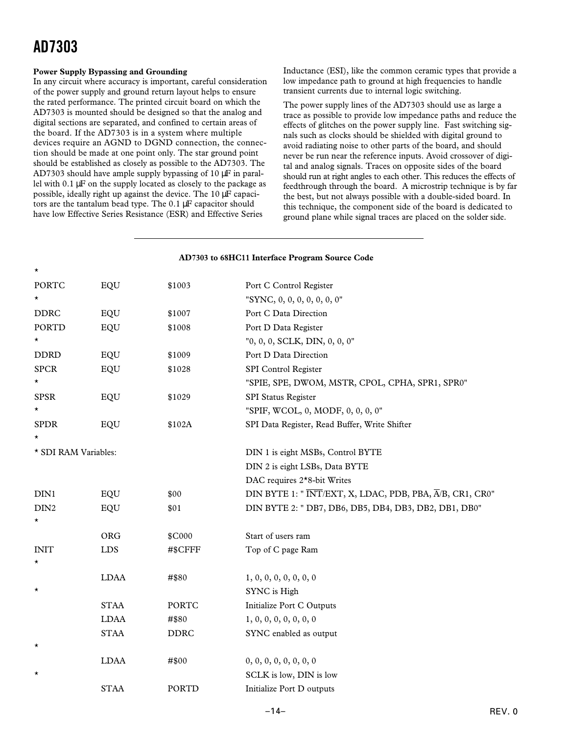### **Power Supply Bypassing and Grounding**

In any circuit where accuracy is important, careful consideration of the power supply and ground return layout helps to ensure the rated performance. The printed circuit board on which the AD7303 is mounted should be designed so that the analog and digital sections are separated, and confined to certain areas of the board. If the AD7303 is in a system where multiple devices require an AGND to DGND connection, the connection should be made at one point only. The star ground point should be established as closely as possible to the AD7303. The AD7303 should have ample supply bypassing of 10 µF in parallel with 0.1 µF on the supply located as closely to the package as possible, ideally right up against the device. The 10 µF capacitors are the tantalum bead type. The 0.1 µF capacitor should have low Effective Series Resistance (ESR) and Effective Series

Inductance (ESI), like the common ceramic types that provide a low impedance path to ground at high frequencies to handle transient currents due to internal logic switching.

The power supply lines of the AD7303 should use as large a trace as possible to provide low impedance paths and reduce the effects of glitches on the power supply line. Fast switching signals such as clocks should be shielded with digital ground to avoid radiating noise to other parts of the board, and should never be run near the reference inputs. Avoid crossover of digital and analog signals. Traces on opposite sides of the board should run at right angles to each other. This reduces the effects of feedthrough through the board. A microstrip technique is by far the best, but not always possible with a double-sided board. In this technique, the component side of the board is dedicated to ground plane while signal traces are placed on the solder side.

| AD7303 to 68HC11 Interface Program Source Code |             |              |                                                         |  |  |
|------------------------------------------------|-------------|--------------|---------------------------------------------------------|--|--|
| *                                              |             |              |                                                         |  |  |
| <b>PORTC</b>                                   | EQU         | \$1003       | Port C Control Register                                 |  |  |
| *                                              |             |              | "SYNC, 0, 0, 0, 0, 0, 0, 0"                             |  |  |
| <b>DDRC</b>                                    | EQU         | \$1007       | Port C Data Direction                                   |  |  |
| PORTD                                          | EQU         | \$1008       | Port D Data Register                                    |  |  |
| *                                              |             |              | "0, 0, 0, SCLK, DIN, 0, 0, 0"                           |  |  |
| <b>DDRD</b>                                    | EQU         | \$1009       | Port D Data Direction                                   |  |  |
| <b>SPCR</b>                                    | EQU         | \$1028       | SPI Control Register                                    |  |  |
| *                                              |             |              | "SPIE, SPE, DWOM, MSTR, CPOL, CPHA, SPR1, SPR0"         |  |  |
| <b>SPSR</b>                                    | EQU         | \$1029       | SPI Status Register                                     |  |  |
| *                                              |             |              | "SPIF, WCOL, 0, MODF, 0, 0, 0, 0"                       |  |  |
| <b>SPDR</b>                                    | EQU         | \$102A       | SPI Data Register, Read Buffer, Write Shifter           |  |  |
| *                                              |             |              |                                                         |  |  |
| * SDI RAM Variables:                           |             |              | DIN 1 is eight MSBs, Control BYTE                       |  |  |
|                                                |             |              | DIN 2 is eight LSBs, Data BYTE                          |  |  |
|                                                |             |              | DAC requires 2 <sup>*</sup> 8-bit Writes                |  |  |
| DIN1                                           | EQU         | \$00         | DIN BYTE 1: "INT/EXT, X, LDAC, PDB, PBA, A/B, CR1, CR0" |  |  |
| DIN <sub>2</sub>                               | EQU         | \$01         | DIN BYTE 2: " DB7, DB6, DB5, DB4, DB3, DB2, DB1, DB0"   |  |  |
| *                                              |             |              |                                                         |  |  |
|                                                | ORG         | \$C000       | Start of users ram                                      |  |  |
| <b>INIT</b>                                    | LDS         | #\$CFFF      | Top of C page Ram                                       |  |  |
| *                                              |             |              |                                                         |  |  |
|                                                | <b>LDAA</b> | #\$80        | 1, 0, 0, 0, 0, 0, 0, 0                                  |  |  |
| $^\star$                                       |             |              | SYNC is High                                            |  |  |
|                                                | <b>STAA</b> | <b>PORTC</b> | Initialize Port C Outputs                               |  |  |
|                                                | <b>LDAA</b> | #\$80        | 1, 0, 0, 0, 0, 0, 0, 0                                  |  |  |
|                                                | <b>STAA</b> | <b>DDRC</b>  | SYNC enabled as output                                  |  |  |
| *                                              |             |              |                                                         |  |  |
|                                                | <b>LDAA</b> | #\$00        | 0, 0, 0, 0, 0, 0, 0, 0                                  |  |  |
| $^\star$                                       |             |              | SCLK is low, DIN is low                                 |  |  |
|                                                | <b>STAA</b> | PORTD        | Initialize Port D outputs                               |  |  |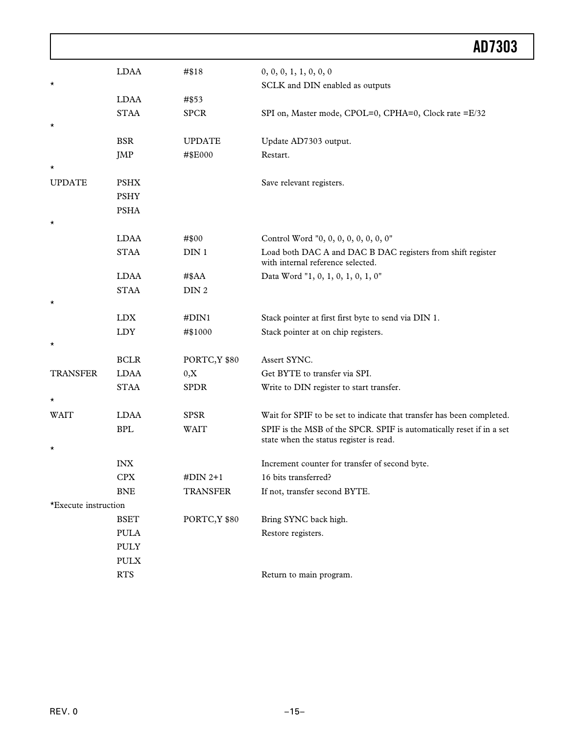|                      |             |                  | AD7303                                                                                                          |
|----------------------|-------------|------------------|-----------------------------------------------------------------------------------------------------------------|
|                      | <b>LDAA</b> | #\$18            | 0, 0, 0, 1, 1, 0, 0, 0                                                                                          |
| $^\star$             |             |                  | SCLK and DIN enabled as outputs                                                                                 |
|                      | <b>LDAA</b> | #\$53            |                                                                                                                 |
|                      | <b>STAA</b> | <b>SPCR</b>      | SPI on, Master mode, CPOL=0, CPHA=0, Clock rate =E/32                                                           |
| $^\star$             |             |                  |                                                                                                                 |
|                      | <b>BSR</b>  | <b>UPDATE</b>    | Update AD7303 output.                                                                                           |
|                      | <b>JMP</b>  | #\$E000          | Restart.                                                                                                        |
| $^\star$             |             |                  |                                                                                                                 |
| <b>UPDATE</b>        | <b>PSHX</b> |                  | Save relevant registers.                                                                                        |
|                      | <b>PSHY</b> |                  |                                                                                                                 |
|                      | <b>PSHA</b> |                  |                                                                                                                 |
| $^\star$             |             |                  |                                                                                                                 |
|                      | <b>LDAA</b> | #\$00            | Control Word "0, 0, 0, 0, 0, 0, 0, 0"                                                                           |
|                      | <b>STAA</b> | DIN <sub>1</sub> | Load both DAC A and DAC B DAC registers from shift register<br>with internal reference selected.                |
|                      | <b>LDAA</b> | $#$ \$AA         | Data Word "1, 0, 1, 0, 1, 0, 1, 0"                                                                              |
|                      | <b>STAA</b> | DIN <sub>2</sub> |                                                                                                                 |
| $^\star$             |             |                  |                                                                                                                 |
|                      | <b>LDX</b>  | #DIN1            | Stack pointer at first first byte to send via DIN 1.                                                            |
|                      | <b>LDY</b>  | #\$1000          | Stack pointer at on chip registers.                                                                             |
| $^\star$             |             |                  |                                                                                                                 |
|                      | <b>BCLR</b> | PORTC, Y \$80    | Assert SYNC.                                                                                                    |
| <b>TRANSFER</b>      | <b>LDAA</b> | 0, X             | Get BYTE to transfer via SPI.                                                                                   |
|                      | <b>STAA</b> | <b>SPDR</b>      | Write to DIN register to start transfer.                                                                        |
| $\star$              |             |                  |                                                                                                                 |
| <b>WAIT</b>          | <b>LDAA</b> | <b>SPSR</b>      | Wait for SPIF to be set to indicate that transfer has been completed.                                           |
|                      | <b>BPL</b>  | <b>WAIT</b>      | SPIF is the MSB of the SPCR. SPIF is automatically reset if in a set<br>state when the status register is read. |
| $\star$              |             |                  |                                                                                                                 |
|                      | <b>INX</b>  |                  | Increment counter for transfer of second byte.                                                                  |
|                      | <b>CPX</b>  | $#DIN 2+1$       | 16 bits transferred?                                                                                            |
|                      | <b>BNE</b>  | <b>TRANSFER</b>  | If not, transfer second BYTE.                                                                                   |
| *Execute instruction |             |                  |                                                                                                                 |
|                      | <b>BSET</b> | PORTC, Y \$80    | Bring SYNC back high.                                                                                           |
|                      | <b>PULA</b> |                  | Restore registers.                                                                                              |
|                      | <b>PULY</b> |                  |                                                                                                                 |
|                      | <b>PULX</b> |                  |                                                                                                                 |
|                      | <b>RTS</b>  |                  | Return to main program.                                                                                         |